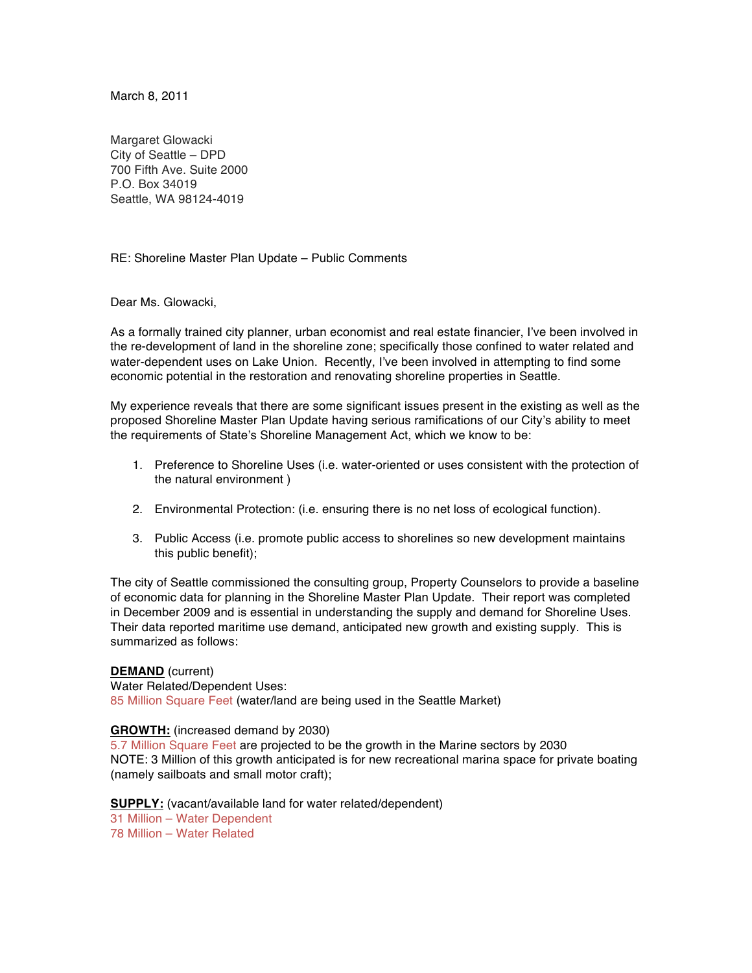March 8, 2011

Margaret Glowacki City of Seattle – DPD 700 Fifth Ave. Suite 2000 P.O. Box 34019 Seattle, WA 98124-4019

RE: Shoreline Master Plan Update – Public Comments

### Dear Ms. Glowacki,

As a formally trained city planner, urban economist and real estate financier, I've been involved in the re-development of land in the shoreline zone; specifically those confined to water related and water-dependent uses on Lake Union. Recently, I've been involved in attempting to find some economic potential in the restoration and renovating shoreline properties in Seattle.

My experience reveals that there are some significant issues present in the existing as well as the proposed Shoreline Master Plan Update having serious ramifications of our City's ability to meet the requirements of State's Shoreline Management Act, which we know to be:

- 1. Preference to Shoreline Uses (i.e. water-oriented or uses consistent with the protection of the natural environment )
- 2. Environmental Protection: (i.e. ensuring there is no net loss of ecological function).
- 3. Public Access (i.e. promote public access to shorelines so new development maintains this public benefit);

The city of Seattle commissioned the consulting group, Property Counselors to provide a baseline of economic data for planning in the Shoreline Master Plan Update. Their report was completed in December 2009 and is essential in understanding the supply and demand for Shoreline Uses. Their data reported maritime use demand, anticipated new growth and existing supply. This is summarized as follows:

**DEMAND** (current) Water Related/Dependent Uses: 85 Million Square Feet (water/land are being used in the Seattle Market)

#### **GROWTH:** (increased demand by 2030)

5.7 Million Square Feet are projected to be the growth in the Marine sectors by 2030 NOTE: 3 Million of this growth anticipated is for new recreational marina space for private boating (namely sailboats and small motor craft);

**SUPPLY:** (vacant/available land for water related/dependent) 31 Million – Water Dependent 78 Million – Water Related